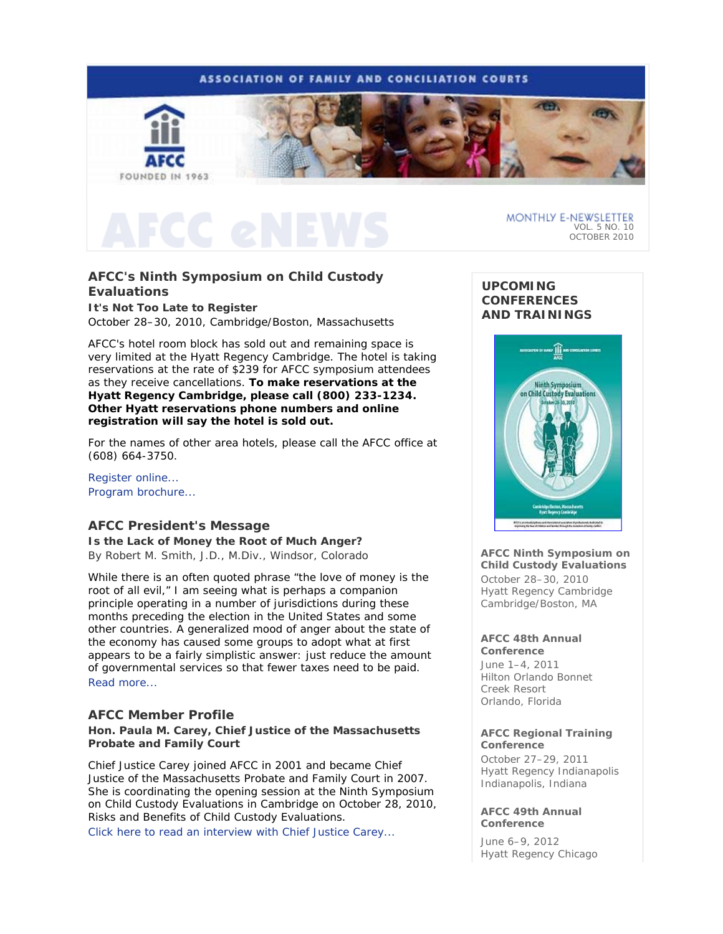

## **AFCC's Ninth Symposium on Child Custody Evaluations**

**It's Not Too Late to Register**  October 28–30, 2010, Cambridge/Boston, Massachusetts

AFCC's hotel room block has sold out and remaining space is very limited at the Hyatt Regency Cambridge. The hotel is taking reservations at the rate of \$239 for AFCC symposium attendees as they receive cancellations. **To make reservations at the Hyatt Regency Cambridge, please call (800) 233-1234. Other Hyatt reservations phone numbers and online registration will say the hotel is sold out.**

For the names of other area hotels, please call the AFCC office at (608) 664-3750.

Register online... Program brochure...

## **AFCC President's Message**

**Is the** *Lack* **of Money the Root of Much Anger?** *By Robert M. Smith, J.D., M.Div., Windsor, Colorado* 

While there is an often quoted phrase "the love of money is the root of all evil," I am seeing what is perhaps a companion principle operating in a number of jurisdictions during these months preceding the election in the United States and some other countries. A generalized mood of anger about the state of the economy has caused some groups to adopt what at first appears to be a fairly simplistic answer: just reduce the amount of governmental services so that fewer taxes need to be paid. Read more...

## **AFCC Member Profile**

### **Hon. Paula M. Carey, Chief Justice of the Massachusetts Probate and Family Court**

Chief Justice Carey joined AFCC in 2001 and became Chief Justice of the Massachusetts Probate and Family Court in 2007. She is coordinating the opening session at the Ninth Symposium on Child Custody Evaluations in Cambridge on October 28, 2010, *Risks and Benefits of Child Custody Evaluations.* 

Click here to read an interview with Chief Justice Carey...

## **UPCOMING CONFERENCES AND TRAININGS**



**AFCC Ninth Symposium on Child Custody Evaluations**  October 28–30, 2010 Hyatt Regency Cambridge Cambridge/Boston, MA

#### **AFCC 48th Annual Conference**

June 1–4, 2011 Hilton Orlando Bonnet Creek Resort Orlando, Florida

### **AFCC Regional Training Conference**

October 27–29, 2011 Hyatt Regency Indianapolis Indianapolis, Indiana

### **AFCC 49th Annual Conference**

June 6–9, 2012 Hyatt Regency Chicago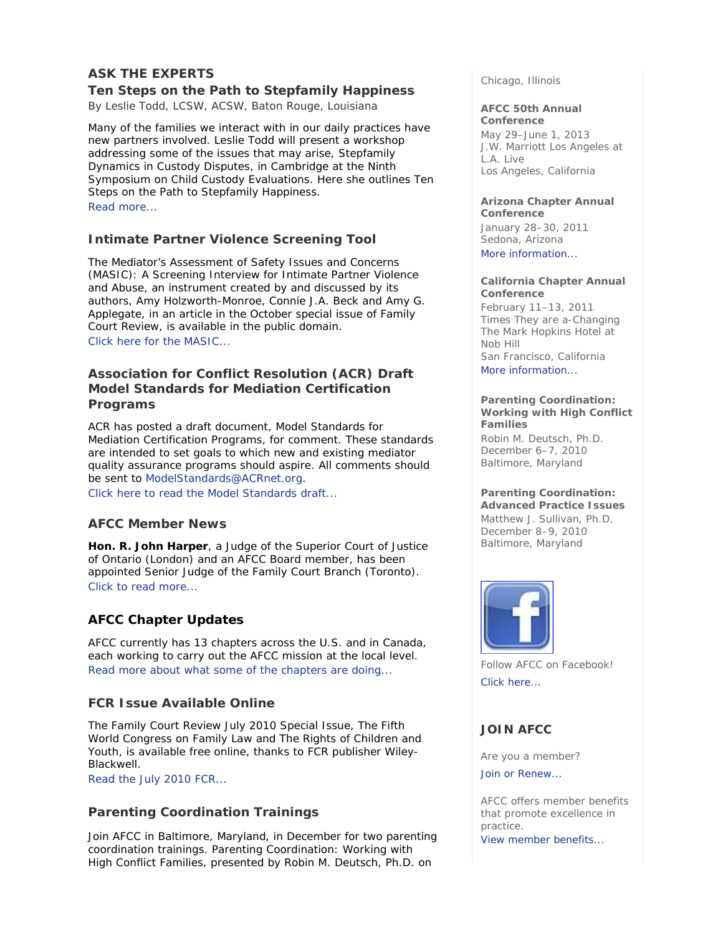## **ASK THE EXPERTS**

## **Ten Steps on the Path to Stepfamily Happiness**

*By Leslie Todd, LCSW, ACSW, Baton Rouge, Louisiana* 

Many of the families we interact with in our daily practices have new partners involved. Leslie Todd will present a workshop addressing some of the issues that may arise, *Stepfamily Dynamics in Custody Disputes*, in Cambridge at the Ninth Symposium on Child Custody Evaluations. Here she outlines Ten Steps on the Path to Stepfamily Happiness. Read more...

## **Intimate Partner Violence Screening Tool**

*The Mediator's Assessment of Safety Issues and Concerns (MASIC): A Screening Interview for Intimate Partner Violence and Abuse*, an instrument created by and discussed by its authors, Amy Holzworth-Monroe, Connie J.A. Beck and Amy G. Applegate, in an article in the October special issue of *Family Court Review*, is available in the public domain. Click here for the *MASIC*...

## **Association for Conflict Resolution (ACR) Draft Model Standards for Mediation Certification Programs**

ACR has posted a draft document, Model Standards for Mediation Certification Programs, for comment. These standards are intended to set goals to which new and existing mediator quality assurance programs should aspire. All comments should be sent to ModelStandards@ACRnet.org.

Click here to read the Model Standards draft...

## **AFCC Member News**

**Hon. R. John Harper**, a Judge of the Superior Court of Justice of Ontario (London) and an AFCC Board member, has been appointed Senior Judge of the Family Court Branch (Toronto). Click to read more...

## **AFCC Chapter Updates**

AFCC currently has 13 chapters across the U.S. and in Canada, each working to carry out the AFCC mission at the local level. Read more about what some of the chapters are doing...

## **FCR Issue Available Online**

The *Family Court Review* July 2010 Special Issue, *The Fifth World Congress on Family Law and The Rights of Children and Youth,* is available free online*,* thanks to *FCR* publisher Wiley-Blackwell*.* 

Read the July 2010 *FCR*...

## **Parenting Coordination Trainings**

Join AFCC in Baltimore, Maryland, in December for two parenting coordination trainings. *Parenting Coordination: Working with High Conflict Families,* presented by Robin M. Deutsch, Ph.D. on

Chicago, Illinois

## **AFCC 50th Annual**

**Conference** May 29–June 1, 2013 J.W. Marriott Los Angeles at L.A. Live Los Angeles, California

## **Arizona Chapter Annual**

**Conference**  January 28–30, 2011 Sedona, Arizona More information...

### **California Chapter Annual Conference**

February 11–13, 2011 *Times They are a-Changing*  The Mark Hopkins Hotel at Nob Hill San Francisco, California More information...

### **Parenting Coordination: Working with High Conflict Families**

*Robin M. Deutsch, Ph.D.* December 6–7, 2010 Baltimore, Maryland

### **Parenting Coordination: Advanced Practice Issues**

*Matthew J. Sullivan, Ph.D.* December 8–9, 2010 Baltimore, Maryland



Follow AFCC on Facebook! Click here...

## **JOIN AFCC**

Are you a member?

Join or Renew...

AFCC offers member benefits that promote excellence in practice.

View member benefits...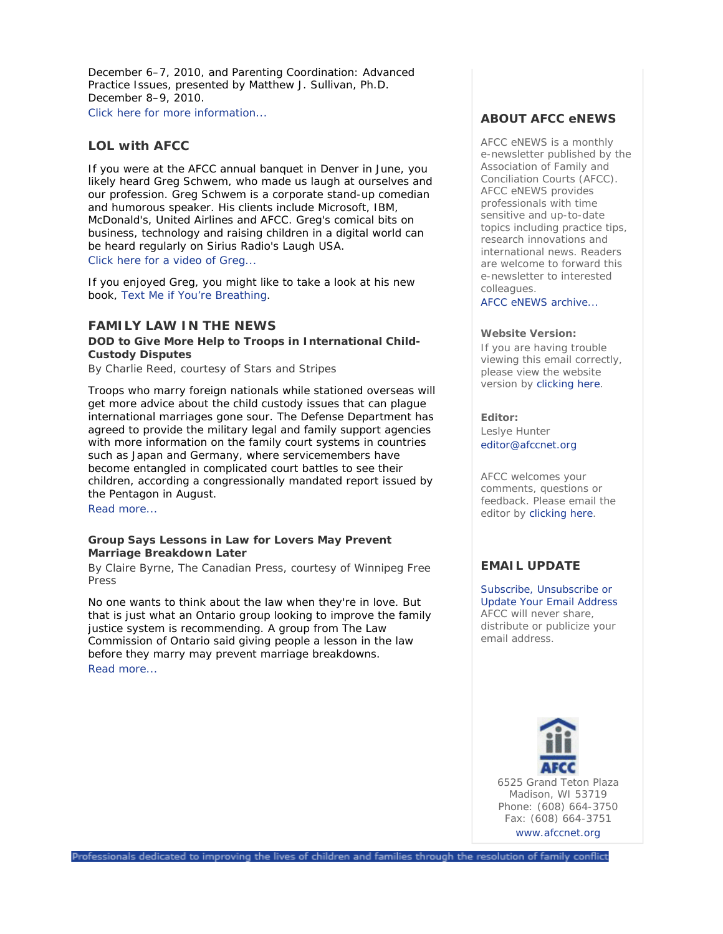December 6–7, 2010, and *Parenting Coordination: Advanced Practice Issues*, presented by Matthew J. Sullivan, Ph.D. December 8–9, 2010. Click here for more information...

## **LOL with AFCC**

If you were at the AFCC annual banquet in Denver in June, you likely heard Greg Schwem, who made us laugh at ourselves and our profession. Greg Schwem is a corporate stand-up comedian and humorous speaker. His clients include Microsoft, IBM, McDonald's, United Airlines and AFCC. Greg's comical bits on business, technology and raising children in a digital world can be heard regularly on Sirius Radio's Laugh USA. Click here for a video of Greg...

If you enjoyed Greg, you might like to take a look at his new book, *Text Me if You're Breathing*.

## **FAMILY LAW IN THE NEWS**

### **DOD to Give More Help to Troops in International Child-Custody Disputes**

*By Charlie Reed, courtesy of Stars and Stripes* 

Troops who marry foreign nationals while stationed overseas will get more advice about the child custody issues that can plague international marriages gone sour. The Defense Department has agreed to provide the military legal and family support agencies with more information on the family court systems in countries such as Japan and Germany, where servicemembers have become entangled in complicated court battles to see their children, according a congressionally mandated report issued by the Pentagon in August.

Read more...

### **Group Says Lessons in Law for Lovers May Prevent Marriage Breakdown Later**

*By Claire Byrne, The Canadian Press, courtesy of Winnipeg Free Press* 

No one wants to think about the law when they're in love. But that is just what an Ontario group looking to improve the family justice system is recommending. A group from The Law Commission of Ontario said giving people a lesson in the law before they marry may prevent marriage breakdowns. Read more...

### **ABOUT AFCC eNEWS**

*AFCC eNEWS* is a monthly e-newsletter published by the Association of Family and Conciliation Courts (AFCC). *AFCC eNEWS* provides professionals with time sensitive and up-to-date topics including practice tips, research innovations and international news. Readers are welcome to forward this e-newsletter to interested colleagues.

AFCC eNEWS archive...

### **Website Version:**

If you are having trouble viewing this email correctly, please view the website version by clicking here.

**Editor:**  Leslye Hunter editor@afccnet.org

AFCC welcomes your comments, questions or feedback. Please email the editor by clicking here.

## **EMAIL UPDATE**

Subscribe, Unsubscribe or Update Your Email Address AFCC will never share, distribute or publicize your email address.

> 6525 Grand Teton Plaza Madison, WI 53719 Phone: (608) 664-3750 Fax: (608) 664-3751 www.afccnet.org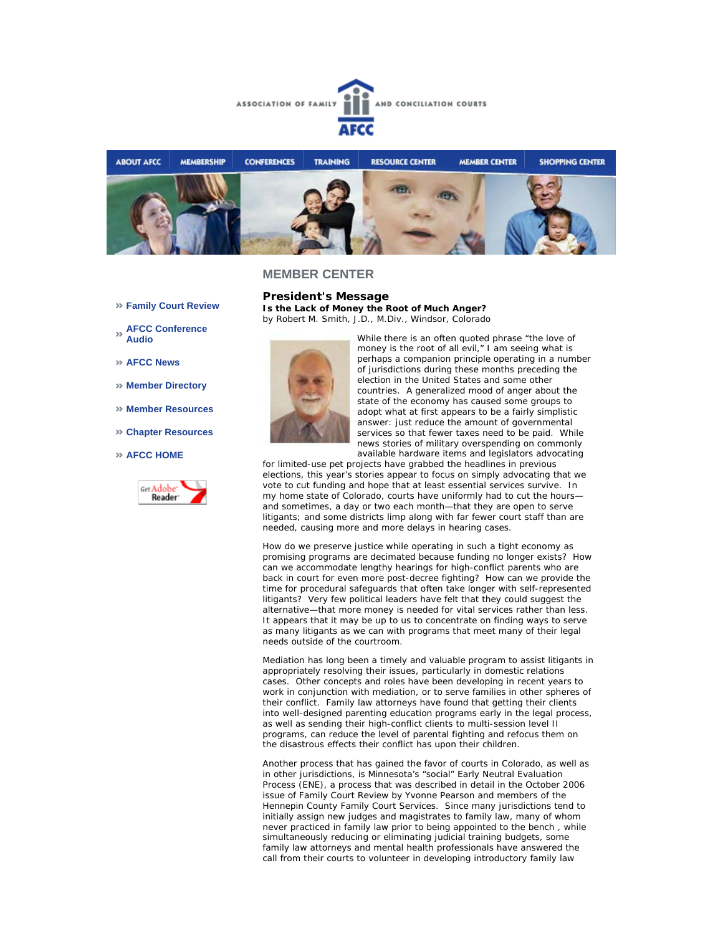



- **Family Court Review**
- **AFCC Conference Audio**
- **AFCC News**
- **Member Directory**
- **Member Resources**
- **Chapter Resources**
- **AFCC HOME**



**President's Message Is the Lack of Money the Root of Much Anger?** *by Robert M. Smith, J.D., M.Div., Windsor, Colorado* 



While there is an often quoted phrase "the love of money is the root of all evil," I am seeing what is perhaps a companion principle operating in a number of jurisdictions during these months preceding the election in the United States and some other countries. A generalized mood of anger about the state of the economy has caused some groups to adopt what at first appears to be a fairly simplistic answer: just reduce the amount of governmental services so that fewer taxes need to be paid. While news stories of military overspending on commonly available hardware items and legislators advocating

for limited-use pet projects have grabbed the headlines in previous elections, this year's stories appear to focus on simply advocating that we vote to cut funding and hope that at least essential services survive. In my home state of Colorado, courts have uniformly had to cut the hours and sometimes, a day or two each month—that they are open to serve litigants; and some districts limp along with far fewer court staff than are needed, causing more and more delays in hearing cases.

How do we preserve justice while operating in such a tight economy as promising programs are decimated because funding no longer exists? How can we accommodate lengthy hearings for high-conflict parents who are back in court for even more post-decree fighting? How can we provide the time for procedural safeguards that often take longer with self-represented litigants? Very few political leaders have felt that they could suggest the alternative—that more money is needed for vital services rather than less. It appears that it may be up to us to concentrate on finding ways to serve as many litigants as we can with programs that meet many of their legal needs outside of the courtroom.

Mediation has long been a timely and valuable program to assist litigants in appropriately resolving their issues, particularly in domestic relations cases. Other concepts and roles have been developing in recent years to work in conjunction with mediation, or to serve families in other spheres of their conflict. Family law attorneys have found that getting their clients into well-designed parenting education programs early in the legal process, as well as sending their high-conflict clients to multi-session level II programs, can reduce the level of parental fighting and refocus them on the disastrous effects their conflict has upon their children.

Another process that has gained the favor of courts in Colorado, as well as in other jurisdictions, is Minnesota's "social" Early Neutral Evaluation Process (ENE), a process that was described in detail in the October 2006 issue of *Family Court Review* by Yvonne Pearson and members of the Hennepin County Family Court Services. Since many jurisdictions tend to initially assign new judges and magistrates to family law, many of whom never practiced in family law prior to being appointed to the bench , while simultaneously reducing or eliminating judicial training budgets, some family law attorneys and mental health professionals have answered the call from their courts to volunteer in developing introductory family law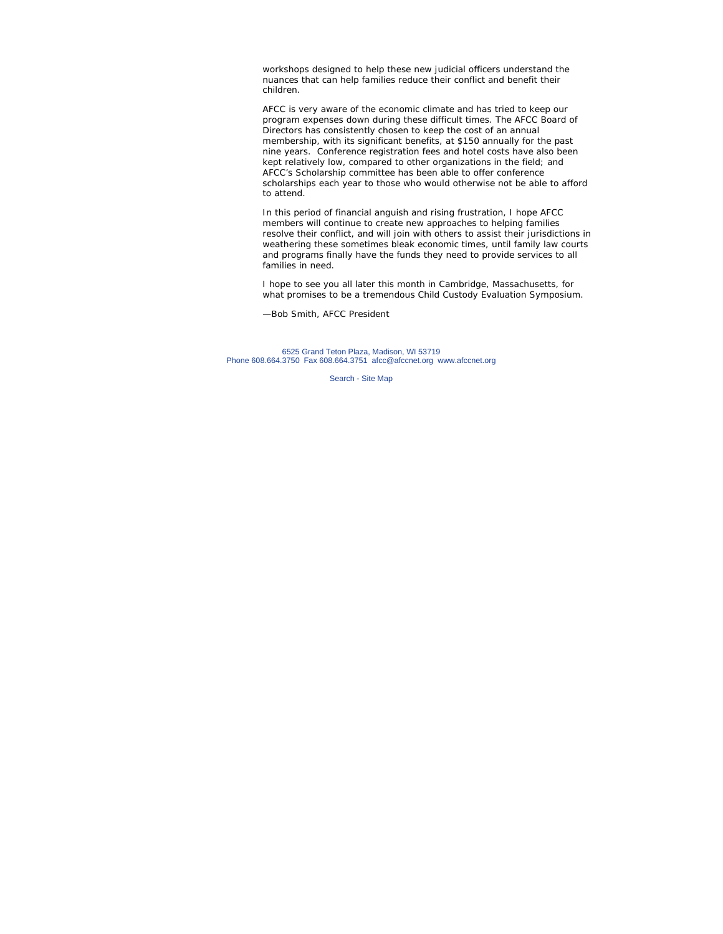workshops designed to help these new judicial officers understand the nuances that can help families reduce their conflict and benefit their children.

AFCC is very aware of the economic climate and has tried to keep our program expenses down during these difficult times. The AFCC Board of Directors has consistently chosen to keep the cost of an annual membership, with its significant benefits, at \$150 annually for the past nine years. Conference registration fees and hotel costs have also been kept relatively low, compared to other organizations in the field; and AFCC's Scholarship committee has been able to offer conference scholarships each year to those who would otherwise not be able to afford to attend.

In this period of financial anguish and rising frustration, I hope AFCC members will continue to create new approaches to helping families resolve their conflict, and will join with others to assist their jurisdictions in weathering these sometimes bleak economic times, until family law courts and programs finally have the funds they need to provide services to all families in need.

I hope to see you all later this month in Cambridge, Massachusetts, for what promises to be a tremendous Child Custody Evaluation Symposium.

—Bob Smith, AFCC President

6525 Grand Teton Plaza, Madison, WI 53719 Phone 608.664.3750 Fax 608.664.3751 afcc@afccnet.org www.afccnet.org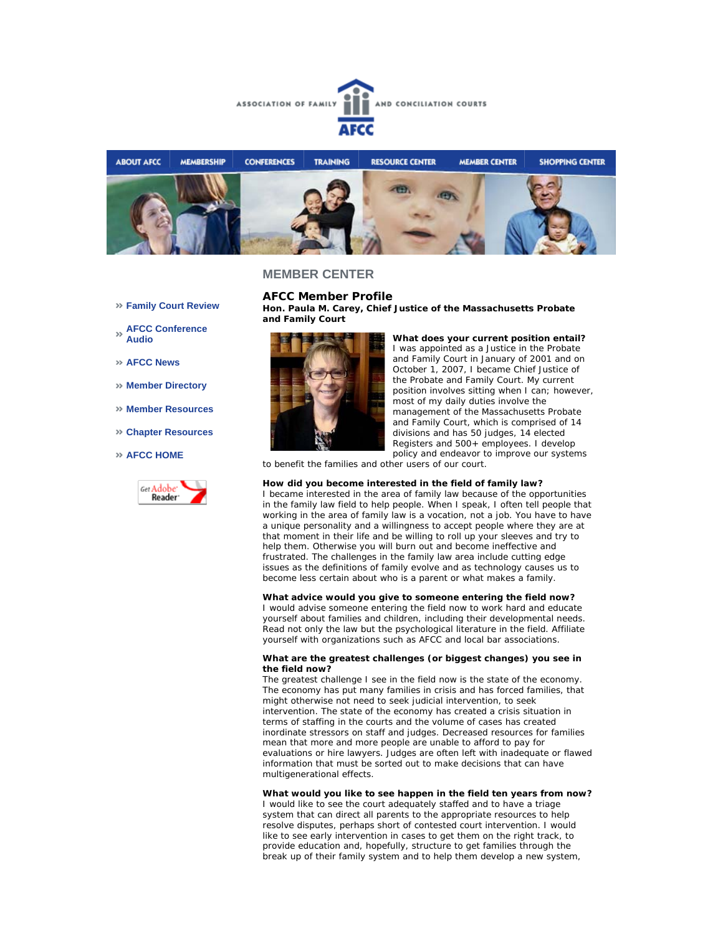



**Family Court Review** 

- **AFCC Conference Audio**
- **AFCC News**
- **Member Directory**
- **Member Resources**
- **Chapter Resources**
- **AFCC HOME**



**AFCC Member Profile Hon. Paula M. Carey, Chief Justice of the Massachusetts Probate and Family Court**



**What does your current position entail?** I was appointed as a Justice in the Probate and Family Court in January of 2001 and on October 1, 2007, I became Chief Justice of the Probate and Family Court. My current position involves sitting when I can; however, most of my daily duties involve the management of the Massachusetts Probate and Family Court, which is comprised of 14 divisions and has 50 judges, 14 elected Registers and 500+ employees. I develop policy and endeavor to improve our systems

to benefit the families and other users of our court.

#### **How did you become interested in the field of family law?**

I became interested in the area of family law because of the opportunities in the family law field to help people. When I speak, I often tell people that working in the area of family law is a vocation, not a job. You have to have a unique personality and a willingness to accept people where they are at that moment in their life and be willing to roll up your sleeves and try to help them. Otherwise you will burn out and become ineffective and frustrated. The challenges in the family law area include cutting edge issues as the definitions of family evolve and as technology causes us to become less certain about who is a parent or what makes a family.

#### **What advice would you give to someone entering the field now?**

I would advise someone entering the field now to work hard and educate yourself about families and children, including their developmental needs. Read not only the law but the psychological literature in the field. Affiliate yourself with organizations such as AFCC and local bar associations.

#### **What are the greatest challenges (or biggest changes) you see in the field now?**

The greatest challenge I see in the field now is the state of the economy. The economy has put many families in crisis and has forced families, that might otherwise not need to seek judicial intervention, to seek intervention. The state of the economy has created a crisis situation in terms of staffing in the courts and the volume of cases has created inordinate stressors on staff and judges. Decreased resources for families mean that more and more people are unable to afford to pay for evaluations or hire lawyers. Judges are often left with inadequate or flawed information that must be sorted out to make decisions that can have multigenerational effects.

**What would you like to see happen in the field ten years from now?**

I would like to see the court adequately staffed and to have a triage system that can direct all parents to the appropriate resources to help resolve disputes, perhaps short of contested court intervention. I would like to see early intervention in cases to get them on the right track, to provide education and, hopefully, structure to get families through the break up of their family system and to help them develop a new system,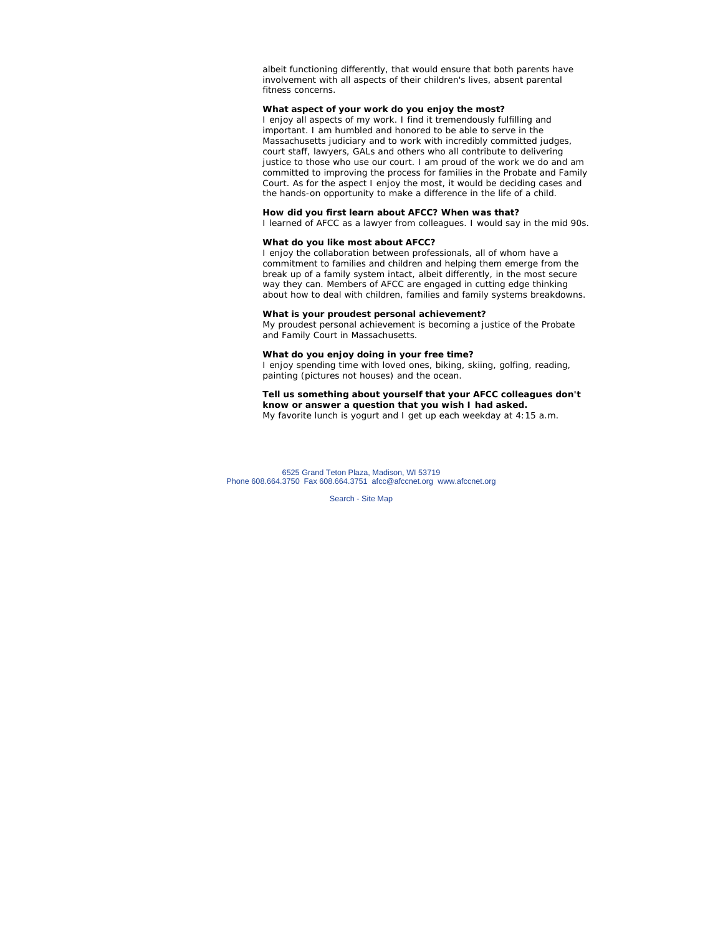albeit functioning differently, that would ensure that both parents have involvement with all aspects of their children's lives, absent parental fitness concerns.

### **What aspect of your work do you enjoy the most?**

I enjoy all aspects of my work. I find it tremendously fulfilling and important. I am humbled and honored to be able to serve in the Massachusetts judiciary and to work with incredibly committed judges, court staff, lawyers, GALs and others who all contribute to delivering justice to those who use our court. I am proud of the work we do and am committed to improving the process for families in the Probate and Family Court. As for the aspect I enjoy the most, it would be deciding cases and the hands-on opportunity to make a difference in the life of a child.

### **How did you first learn about AFCC? When was that?**

I learned of AFCC as a lawyer from colleagues. I would say in the mid 90s.

#### **What do you like most about AFCC?**

I enjoy the collaboration between professionals, all of whom have a commitment to families and children and helping them emerge from the break up of a family system intact, albeit differently, in the most secure way they can. Members of AFCC are engaged in cutting edge thinking about how to deal with children, families and family systems breakdowns.

#### **What is your proudest personal achievement?**

My proudest personal achievement is becoming a justice of the Probate and Family Court in Massachusetts.

#### **What do you enjoy doing in your free time?**

I enjoy spending time with loved ones, biking, skiing, golfing, reading, painting (pictures not houses) and the ocean.

#### **Tell us something about yourself that your AFCC colleagues don't know or answer a question that you wish I had asked.** My favorite lunch is yogurt and I get up each weekday at 4:15 a.m.

6525 Grand Teton Plaza, Madison, WI 53719 Phone 608.664.3750 Fax 608.664.3751 afcc@afccnet.org www.afccnet.org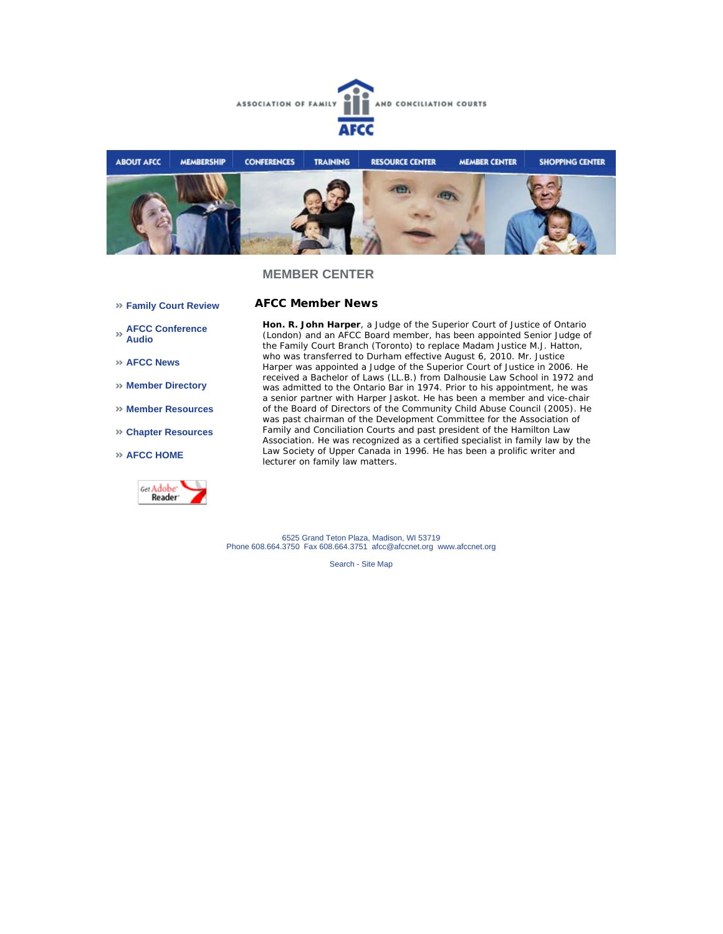



**AFCC Member News** 

- **Family Court Review**
- **AFCC Conference Audio**
- **AFCC News**
- **Member Directory**
- **Member Resources**
- **Chapter Resources**
- **AFCC HOME**



**Hon. R. John Harper**, a Judge of the Superior Court of Justice of Ontario (London) and an AFCC Board member, has been appointed Senior Judge of the Family Court Branch (Toronto) to replace Madam Justice M.J. Hatton, who was transferred to Durham effective August 6, 2010. Mr. Justice Harper was appointed a Judge of the Superior Court of Justice in 2006. He received a Bachelor of Laws (LL.B.) from Dalhousie Law School in 1972 and was admitted to the Ontario Bar in 1974. Prior to his appointment, he was a senior partner with Harper Jaskot. He has been a member and vice-chair of the Board of Directors of the Community Child Abuse Council (2005). He was past chairman of the Development Committee for the Association of Family and Conciliation Courts and past president of the Hamilton Law Association. He was recognized as a certified specialist in family law by the Law Society of Upper Canada in 1996. He has been a prolific writer and lecturer on family law matters.

6525 Grand Teton Plaza, Madison, WI 53719 Phone 608.664.3750 Fax 608.664.3751 afcc@afccnet.org www.afccnet.org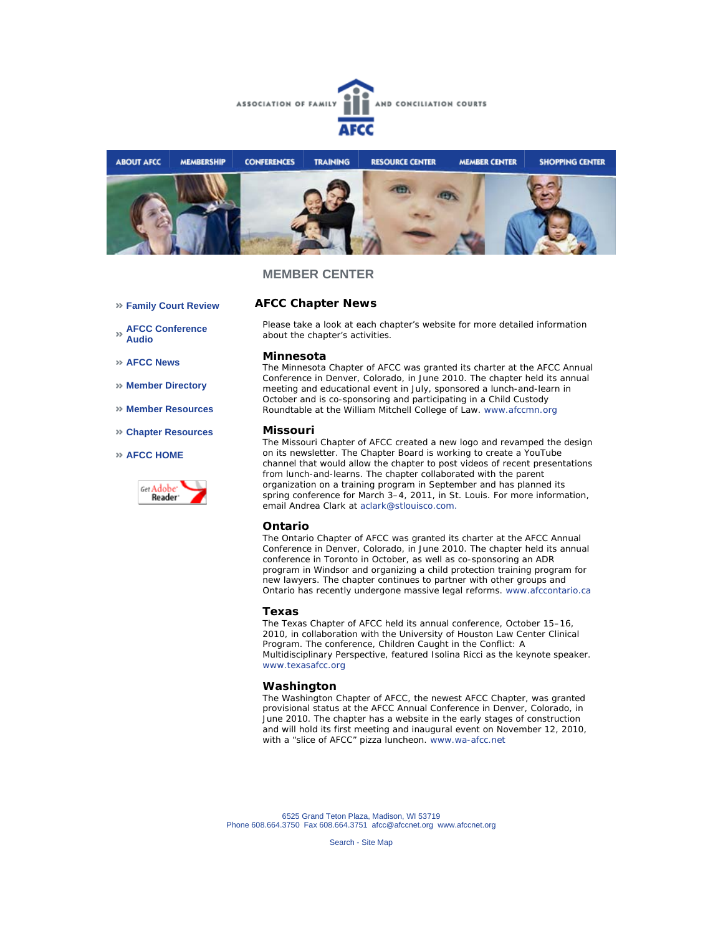



- **Family Court Review**
- **AFCC Conference Audio**
- **AFCC News**
- **Member Directory**
- **Member Resources**
- **Chapter Resources**
- **AFCC HOME**



# **AFCC Chapter News**

*Please take a look at each chapter's website for more detailed information about the chapter's activities.*

#### **Minnesota**

The Minnesota Chapter of AFCC was granted its charter at the AFCC Annual Conference in Denver, Colorado, in June 2010. The chapter held its annual meeting and educational event in July, sponsored a lunch-and-learn in October and is co-sponsoring and participating in a Child Custody Roundtable at the William Mitchell College of Law. www.afccmn.org

### **Missouri**

The Missouri Chapter of AFCC created a new logo and revamped the design on its newsletter. The Chapter Board is working to create a YouTube channel that would allow the chapter to post videos of recent presentations from lunch-and-learns. The chapter collaborated with the parent organization on a training program in September and has planned its spring conference for March 3–4, 2011, in St. Louis. For more information, email Andrea Clark at aclark@stlouisco.com.

### **Ontario**

The Ontario Chapter of AFCC was granted its charter at the AFCC Annual Conference in Denver, Colorado, in June 2010. The chapter held its annual conference in Toronto in October, as well as co-sponsoring an ADR program in Windsor and organizing a child protection training program for new lawyers. The chapter continues to partner with other groups and Ontario has recently undergone massive legal reforms. www.afccontario.ca

#### **Texas**

The Texas Chapter of AFCC held its annual conference, October 15–16, 2010, in collaboration with the University of Houston Law Center Clinical Program. The conference, *Children Caught in the Conflict: A Multidisciplinary Perspective*, featured Isolina Ricci as the keynote speaker. www.texasafcc.org

### **Washington**

The Washington Chapter of AFCC, the newest AFCC Chapter, was granted provisional status at the AFCC Annual Conference in Denver, Colorado, in June 2010. The chapter has a website in the early stages of construction and will hold its first meeting and inaugural event on November 12, 2010, with a "slice of AFCC" pizza luncheon. www.wa-afcc.net

6525 Grand Teton Plaza, Madison, WI 53719 Phone 608.664.3750 Fax 608.664.3751 afcc@afccnet.org www.afccnet.org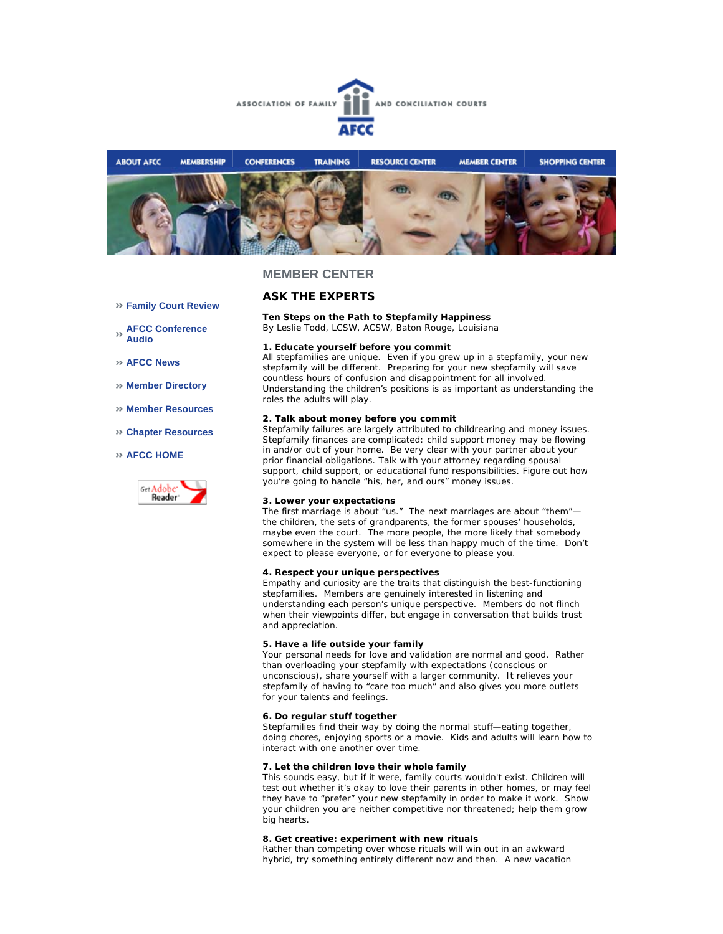



## **ASK THE EXPERTS**

**Ten Steps on the Path to Stepfamily Happiness** *By Leslie Todd, LCSW, ACSW, Baton Rouge, Louisiana* 

#### **1. Educate yourself before you commit**

All stepfamilies are unique. Even if you grew up in a stepfamily, your new stepfamily will be different. Preparing for your new stepfamily will save countless hours of confusion and disappointment for all involved. Understanding the children's positions is as important as understanding the roles the adults will play.

#### **2. Talk about money before you commit**

Stepfamily failures are largely attributed to childrearing and money issues. Stepfamily finances are complicated: child support money may be flowing in and/or out of your home. Be very clear with your partner about your prior financial obligations. Talk with your attorney regarding spousal support, child support, or educational fund responsibilities. Figure out how you're going to handle "his, her, and ours" money issues.

#### **3. Lower your expectations**

The first marriage is about "us." The next marriages are about "them" the children, the sets of grandparents, the former spouses' households, maybe even the court. The more people, the more likely that somebody somewhere in the system will be less than happy much of the time. Don't expect to please everyone, or for everyone to please you.

#### **4. Respect your unique perspectives**

Empathy and curiosity are the traits that distinguish the best-functioning stepfamilies. Members are genuinely interested in listening and understanding each person's unique perspective. Members do not flinch when their viewpoints differ, but engage in conversation that builds trust and appreciation.

#### **5. Have a life outside your family**

Your personal needs for love and validation are normal and good. Rather than overloading your stepfamily with expectations (conscious or unconscious), share yourself with a larger community. It relieves your stepfamily of having to "care too much" and also gives you more outlets for your talents and feelings.

#### **6. Do regular stuff together**

Stepfamilies find their way by doing the normal stuff—eating together, doing chores, enjoying sports or a movie. Kids and adults will learn how to interact with one another over time.

#### **7. Let the children love their whole family**

This sounds easy, but if it were, family courts wouldn't exist. Children will test out whether it's okay to love their parents in other homes, or may feel they have to "prefer" your new stepfamily in order to make it work. Show your children you are neither competitive nor threatened; help them grow big hearts.

#### **8. Get creative: experiment with new rituals**

Rather than competing over whose rituals will win out in an awkward hybrid, try something entirely different now and then. A new vacation

- **Family Court Review**
- **AFCC Conference Audio**
- **AFCC News**
- **Member Directory**
- **Member Resources**
- **Chapter Resources**

### **AFCC HOME**